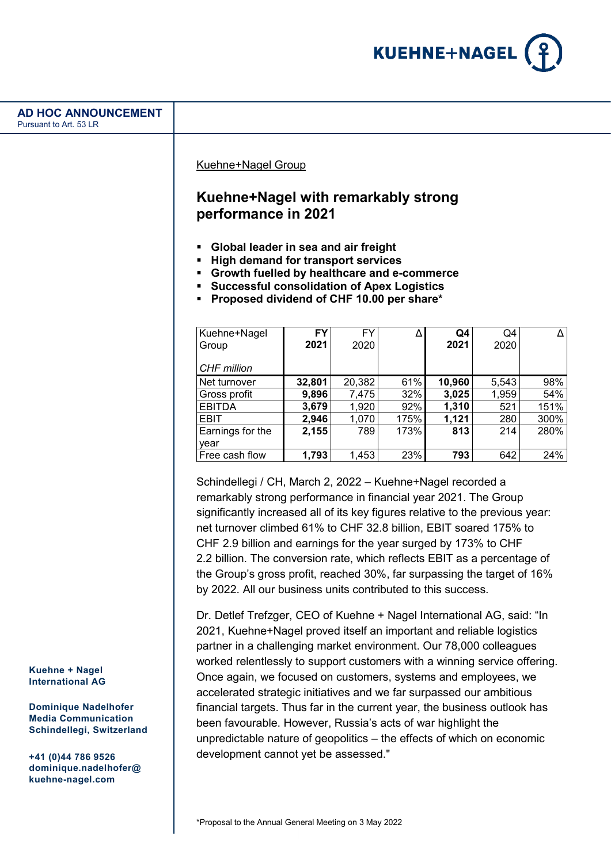

Kuehne+Nagel Group

# **Kuehne+Nagel with remarkably strong performance in 2021**

- **Global leader in sea and air freight**
- **High demand for transport services**
- **Growth fuelled by healthcare and e-commerce**
- **Successful consolidation of Apex Logistics**
- **Proposed dividend of CHF 10.00 per share\***

| Kuehne+Nagel     | <b>FY</b> | FY     |      | Q4     | Q4    |      |
|------------------|-----------|--------|------|--------|-------|------|
| Group            | 2021      | 2020   |      | 2021   | 2020  |      |
| CHF million      |           |        |      |        |       |      |
| Net turnover     | 32,801    | 20,382 | 61%  | 10,960 | 5,543 | 98%  |
| Gross profit     | 9,896     | 7,475  | 32%  | 3,025  | 1,959 | 54%  |
| <b>EBITDA</b>    | 3,679     | 1,920  | 92%  | 1,310  | 521   | 151% |
| <b>EBIT</b>      | 2,946     | 1,070  | 175% | 1,121  | 280   | 300% |
| Earnings for the | 2,155     | 789    | 173% | 813    | 214   | 280% |
| year             |           |        |      |        |       |      |
| Free cash flow   | 1,793     | 1,453  | 23%  | 793    | 642   | 24%  |

Schindellegi / CH, March 2, 2022 – Kuehne+Nagel recorded a remarkably strong performance in financial year 2021. The Group significantly increased all of its key figures relative to the previous year: net turnover climbed 61% to CHF 32.8 billion, EBIT soared 175% to CHF 2.9 billion and earnings for the year surged by 173% to CHF 2.2 billion. The conversion rate, which reflects EBIT as a percentage of the Group's gross profit, reached 30%, far surpassing the target of 16% by 2022. All our business units contributed to this success.

Dr. Detlef Trefzger, CEO of Kuehne + Nagel International AG, said: "In 2021, Kuehne+Nagel proved itself an important and reliable logistics partner in a challenging market environment. Our 78,000 colleagues worked relentlessly to support customers with a winning service offering. Once again, we focused on customers, systems and employees, we accelerated strategic initiatives and we far surpassed our ambitious financial targets. Thus far in the current year, the business outlook has been favourable. However, Russia's acts of war highlight the unpredictable nature of geopolitics – the effects of which on economic development cannot yet be assessed."

**Kuehne + Nagel International AG**

**Dominique Nadelhofer Media Communication Schindellegi, Switzerland**

**+41 (0)44 786 9526 dominique.nadelhofer@ kuehne-nagel.com**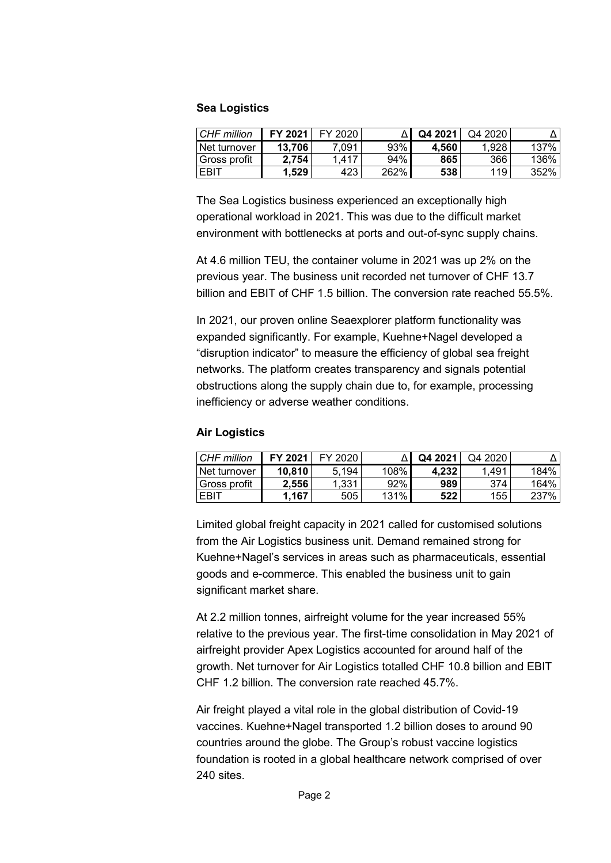### **Sea Logistics**

| CHF million    | FY 2021 | FY 2020 |      | Q4 2021 | Q4 2020 |      |
|----------------|---------|---------|------|---------|---------|------|
| Net turnover   | 13.706  | .091    | 93%  | 4.560   | 1.928   | 137% |
| I Gross profit | 2.754   | 1.417   | 94%  | 865     | 366     | 136% |
| <b>FBIT</b>    | 1.529   | 423     | 262% | 538     | 119     | 352% |

The Sea Logistics business experienced an exceptionally high operational workload in 2021. This was due to the difficult market environment with bottlenecks at ports and out-of-sync supply chains.

At 4.6 million TEU, the container volume in 2021 was up 2% on the previous year. The business unit recorded net turnover of CHF 13.7 billion and EBIT of CHF 1.5 billion. The conversion rate reached 55.5%.

In 2021, our proven online Seaexplorer platform functionality was expanded significantly. For example, Kuehne+Nagel developed a "disruption indicator" to measure the efficiency of global sea freight networks. The platform creates transparency and signals potential obstructions along the supply chain due to, for example, processing inefficiency or adverse weather conditions.

### **Air Logistics**

| CHF million  | FY 2021 | FY 2020 |      | Q4 2021 | Q4 2020 |        |
|--------------|---------|---------|------|---------|---------|--------|
| Net turnover | 10.810  | 5.194   | 108% | 4.232   | 1.491   | 184%   |
| Gross profit | 2.556   | 1.331   | 92%  | 989     | 374     | 164% l |
| EBIT         | 1.167   | 505     | 131% | 522     | 155     | 237%   |

Limited global freight capacity in 2021 called for customised solutions from the Air Logistics business unit. Demand remained strong for Kuehne+Nagel's services in areas such as pharmaceuticals, essential goods and e-commerce. This enabled the business unit to gain significant market share.

At 2.2 million tonnes, airfreight volume for the year increased 55% relative to the previous year. The first-time consolidation in May 2021 of airfreight provider Apex Logistics accounted for around half of the growth. Net turnover for Air Logistics totalled CHF 10.8 billion and EBIT CHF 1.2 billion. The conversion rate reached 45.7%.

Air freight played a vital role in the global distribution of Covid-19 vaccines. Kuehne+Nagel transported 1.2 billion doses to around 90 countries around the globe. The Group's robust vaccine logistics foundation is rooted in a global healthcare network comprised of over 240 sites.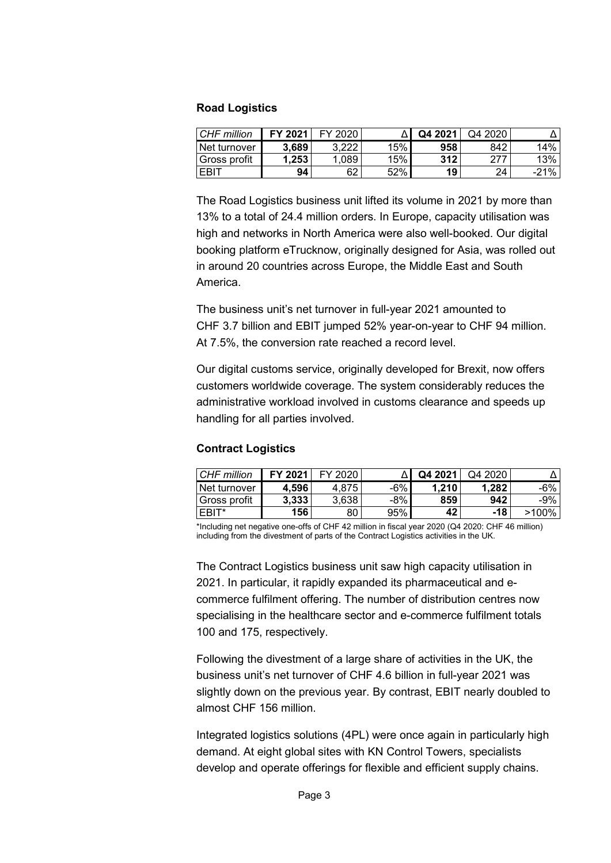### **Road Logistics**

| CHF million  | FY 2021 | FY 2020 |     | Q4 2021 | Q4 2020 |        |
|--------------|---------|---------|-----|---------|---------|--------|
| Net turnover | 3.689   | 3,222   | 15% | 958     | 842     | 14%    |
| Gross profit | .253    | 1.089   | 15% | 312     |         | 13%    |
| EBIT         | 94      | 62      | 52% | 19      | 24      | $-21%$ |

The Road Logistics business unit lifted its volume in 2021 by more than 13% to a total of 24.4 million orders. In Europe, capacity utilisation was high and networks in North America were also well-booked. Our digital booking platform eTrucknow, originally designed for Asia, was rolled out in around 20 countries across Europe, the Middle East and South America.

The business unit's net turnover in full-year 2021 amounted to CHF 3.7 billion and EBIT jumped 52% year-on-year to CHF 94 million. At 7.5%, the conversion rate reached a record level.

Our digital customs service, originally developed for Brexit, now offers customers worldwide coverage. The system considerably reduces the administrative workload involved in customs clearance and speeds up handling for all parties involved.

## **Contract Logistics**

| CHF million         | FY 2021 | FY 2020 |     | Q4 2021 | Q4 2020 |          |
|---------------------|---------|---------|-----|---------|---------|----------|
| <b>Net turnover</b> | 4.596   | 4.875   | -6% | 1.210   | 1,282   | -6%      |
| l Gross profit      | 3.333   | 3,638   | -8% | 859     | 942     | -9%      |
| EBIT*               | 156     | 80      | 95% | 42      | -18     | $>100\%$ |

\*Including net negative one-offs of CHF 42 million in fiscal year 2020 (Q4 2020: CHF 46 million) including from the divestment of parts of the Contract Logistics activities in the UK.

The Contract Logistics business unit saw high capacity utilisation in 2021. In particular, it rapidly expanded its pharmaceutical and ecommerce fulfilment offering. The number of distribution centres now specialising in the healthcare sector and e-commerce fulfilment totals 100 and 175, respectively.

Following the divestment of a large share of activities in the UK, the business unit's net turnover of CHF 4.6 billion in full-year 2021 was slightly down on the previous year. By contrast, EBIT nearly doubled to almost CHF 156 million.

Integrated logistics solutions (4PL) were once again in particularly high demand. At eight global sites with KN Control Towers, specialists develop and operate offerings for flexible and efficient supply chains.